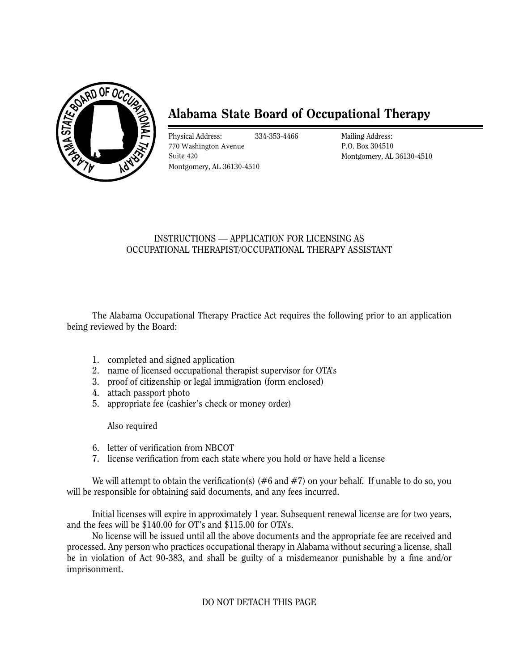

# **Alabama State Board of Occupational Therapy**

Physical Address: 770 Washington Avenue Suite 420

334-353-4466 Mailing Address: P.O. Box 304510 Montgomery, AL 36130-4510

## INSTRUCTIONS — APPLICATION FOR LICENSING AS OCCUPATIONAL THERAPIST/OCCUPATIONAL THERAPY ASSISTANT

The Alabama Occupational Therapy Practice Act requires the following prior to an application being reviewed by the Board:

- 1. completed and signed application
- 2. name of licensed occupational therapist supervisor for OTA's
- 3. proof of citizenship or legal immigration (form enclosed)
- 4. attach passport photo
- 5. appropriate fee (cashier's check or money order)

Also required

- 6. letter of verification from NBCOT
- 7. license verification from each state where you hold or have held a license

We will attempt to obtain the verification(s) (#6 and #7) on your behalf. If unable to do so, you will be responsible for obtaining said documents, and any fees incurred.

Initial licenses will expire in approximately 1 year. Subsequent renewal license are for two years, and the fees will be \$140 .00 for OT's and \$115.00 for OTA's.

No license will be issued until all the above documents and the appropriate fee are received and processed. Any person who practices occupational therapy in Alabama without securing a license, shall be in violation of Act 90-383, and shall be guilty of a misdemeanor punishable by a fine and/or imprisonment.

#### DO NOT DETACH THIS PAGE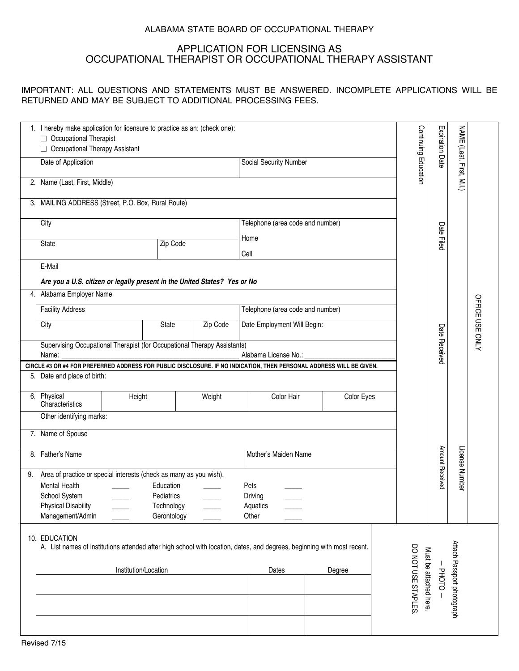#### ALABAMA STATE BOARD OF OCCUPATIONAL THERAPY

# APPLICATION FOR LICENSING AS OCCUPATIONAL THERAPIST OR OCCUPATIONAL THERAPY ASSISTANT

#### IMPORTANT: ALL QUESTIONS AND STATEMENTS MUST BE ANSWERED. INCOMPLETE APPLICATIONS WILL BE RETURNED AND MAY BE SUBJECT TO ADDITIONAL PROCESSING FEES.

|                                                                                                                                                                                     | 1. I hereby make application for licensure to practice as an: (check one):<br>□ Occupational Therapist<br>□ Occupational Therapy Assistant |                          |          |                                                                                                                     |                        | Continuing Education | <b>Expiration Date</b>                       | <b>NAME</b>                |                 |  |  |
|-------------------------------------------------------------------------------------------------------------------------------------------------------------------------------------|--------------------------------------------------------------------------------------------------------------------------------------------|--------------------------|----------|---------------------------------------------------------------------------------------------------------------------|------------------------|----------------------|----------------------------------------------|----------------------------|-----------------|--|--|
|                                                                                                                                                                                     | Date of Application                                                                                                                        |                          |          |                                                                                                                     | Social Security Number |                      |                                              | (Last, First, M.I.)        |                 |  |  |
|                                                                                                                                                                                     | 2. Name (Last, First, Middle)                                                                                                              |                          |          |                                                                                                                     |                        |                      |                                              |                            |                 |  |  |
|                                                                                                                                                                                     | 3. MAILING ADDRESS (Street, P.O. Box, Rural Route)                                                                                         |                          |          |                                                                                                                     |                        |                      |                                              |                            |                 |  |  |
| City                                                                                                                                                                                |                                                                                                                                            |                          |          | Telephone (area code and number)                                                                                    |                        |                      |                                              |                            |                 |  |  |
| <b>State</b>                                                                                                                                                                        |                                                                                                                                            | Zip Code                 |          | Home                                                                                                                |                        |                      |                                              | Date Filed                 |                 |  |  |
|                                                                                                                                                                                     |                                                                                                                                            |                          |          | Cell                                                                                                                |                        |                      |                                              |                            |                 |  |  |
| E-Mail                                                                                                                                                                              | Are you a U.S. citizen or legally present in the United States? Yes or No                                                                  |                          |          |                                                                                                                     |                        |                      |                                              |                            |                 |  |  |
| 4. Alabama Employer Name                                                                                                                                                            |                                                                                                                                            |                          |          |                                                                                                                     |                        |                      |                                              |                            |                 |  |  |
| <b>Facility Address</b>                                                                                                                                                             |                                                                                                                                            |                          |          | Telephone (area code and number)                                                                                    |                        |                      |                                              |                            |                 |  |  |
| City                                                                                                                                                                                |                                                                                                                                            |                          | Zip Code | Date Employment Will Begin:                                                                                         |                        |                      |                                              |                            | OFFICE USE ONLY |  |  |
|                                                                                                                                                                                     |                                                                                                                                            |                          |          |                                                                                                                     |                        |                      | Date Received                                |                            |                 |  |  |
| Name:                                                                                                                                                                               | Supervising Occupational Therapist (for Occupational Therapy Assistants)<br>Alabama License No.:                                           |                          |          |                                                                                                                     |                        |                      |                                              |                            |                 |  |  |
| 5. Date and place of birth:                                                                                                                                                         |                                                                                                                                            |                          |          | CIRCLE #3 OR #4 FOR PREFERRED ADDRESS FOR PUBLIC DISCLOSURE. IF NO INDICATION, THEN PERSONAL ADDRESS WILL BE GIVEN. |                        |                      |                                              |                            |                 |  |  |
| 6. Physical<br>Characteristics                                                                                                                                                      | Height                                                                                                                                     |                          | Weight   | Color Hair                                                                                                          | Color Eyes             |                      |                                              |                            |                 |  |  |
|                                                                                                                                                                                     | Other identifying marks:                                                                                                                   |                          |          |                                                                                                                     |                        |                      |                                              |                            |                 |  |  |
| 7. Name of Spouse                                                                                                                                                                   |                                                                                                                                            |                          |          |                                                                                                                     |                        |                      |                                              |                            |                 |  |  |
| 8. Father's Name                                                                                                                                                                    |                                                                                                                                            |                          |          | Mother's Maiden Name                                                                                                |                        |                      |                                              |                            |                 |  |  |
| 9.                                                                                                                                                                                  | Area of practice or special interests (check as many as you wish).                                                                         |                          |          |                                                                                                                     |                        |                      | Amount Received                              | License Number             |                 |  |  |
| <b>Mental Health</b>                                                                                                                                                                |                                                                                                                                            | Education                |          | Pets                                                                                                                |                        |                      |                                              |                            |                 |  |  |
| School System<br><b>Physical Disability</b>                                                                                                                                         |                                                                                                                                            | Pediatrics<br>Technology |          | <b>Driving</b><br>Aquatics                                                                                          |                        |                      |                                              |                            |                 |  |  |
| Management/Admin                                                                                                                                                                    |                                                                                                                                            | Gerontology              |          | Other                                                                                                               |                        |                      |                                              |                            |                 |  |  |
| 10. EDUCATION<br>A. List names of institutions attended after high school with location, dates, and degrees, beginning with most recent.<br>Institution/Location<br>Dates<br>Degree |                                                                                                                                            |                          |          |                                                                                                                     |                        |                      | <b>PHOTO</b>                                 | Attach Passport photograph |                 |  |  |
|                                                                                                                                                                                     |                                                                                                                                            |                          |          |                                                                                                                     |                        |                      | DO NOT USE STAPLES<br>Must be attached here. |                            |                 |  |  |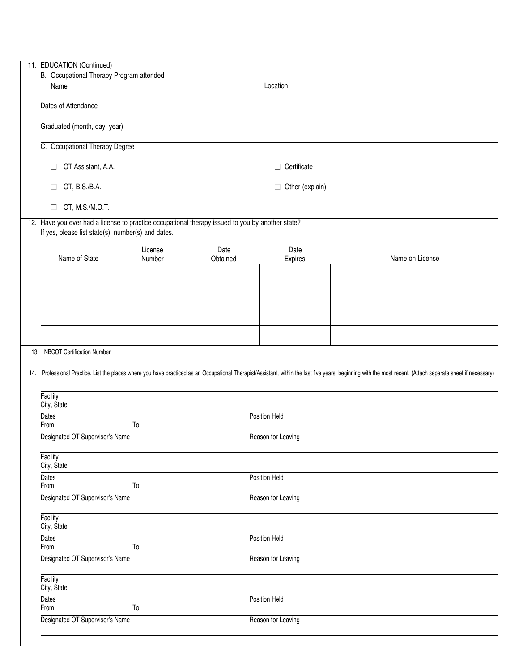| 11. EDUCATION (Continued)                                                                                                                              |                   |                  |                    |                                                                                                                                                                                                              |  |  |  |  |
|--------------------------------------------------------------------------------------------------------------------------------------------------------|-------------------|------------------|--------------------|--------------------------------------------------------------------------------------------------------------------------------------------------------------------------------------------------------------|--|--|--|--|
| B. Occupational Therapy Program attended<br>Name                                                                                                       |                   |                  | Location           |                                                                                                                                                                                                              |  |  |  |  |
|                                                                                                                                                        |                   |                  |                    |                                                                                                                                                                                                              |  |  |  |  |
| Dates of Attendance                                                                                                                                    |                   |                  |                    |                                                                                                                                                                                                              |  |  |  |  |
| Graduated (month, day, year)                                                                                                                           |                   |                  |                    |                                                                                                                                                                                                              |  |  |  |  |
| C. Occupational Therapy Degree                                                                                                                         |                   |                  |                    |                                                                                                                                                                                                              |  |  |  |  |
| OT Assistant, A.A.<br>$\Box$                                                                                                                           |                   |                  | $\Box$ Certificate |                                                                                                                                                                                                              |  |  |  |  |
| OT, B.S./B.A.<br>$\Box$                                                                                                                                |                   |                  |                    |                                                                                                                                                                                                              |  |  |  |  |
| OT, M.S./M.O.T.<br>$\Box$                                                                                                                              |                   |                  |                    |                                                                                                                                                                                                              |  |  |  |  |
| 12. Have you ever had a license to practice occupational therapy issued to you by another state?<br>If yes, please list state(s), number(s) and dates. |                   |                  |                    |                                                                                                                                                                                                              |  |  |  |  |
| Name of State                                                                                                                                          | License<br>Number | Date<br>Obtained | Date<br>Expires    | Name on License                                                                                                                                                                                              |  |  |  |  |
|                                                                                                                                                        |                   |                  |                    |                                                                                                                                                                                                              |  |  |  |  |
|                                                                                                                                                        |                   |                  |                    |                                                                                                                                                                                                              |  |  |  |  |
|                                                                                                                                                        |                   |                  |                    |                                                                                                                                                                                                              |  |  |  |  |
|                                                                                                                                                        |                   |                  |                    |                                                                                                                                                                                                              |  |  |  |  |
| 13. NBCOT Certification Number                                                                                                                         |                   |                  |                    |                                                                                                                                                                                                              |  |  |  |  |
|                                                                                                                                                        |                   |                  |                    | 14. Professional Practice. List the places where you have practiced as an Occupational Therapist/Assistant, within the last five years, beginning with the most recent. (Attach separate sheet if necessary) |  |  |  |  |
| Facility<br>City, State                                                                                                                                |                   |                  |                    |                                                                                                                                                                                                              |  |  |  |  |
| Dates<br>From:<br>To:                                                                                                                                  |                   |                  | Position Held      |                                                                                                                                                                                                              |  |  |  |  |
| Designated OT Supervisor's Name                                                                                                                        |                   |                  | Reason for Leaving |                                                                                                                                                                                                              |  |  |  |  |
| Facility<br>City, State                                                                                                                                |                   |                  |                    |                                                                                                                                                                                                              |  |  |  |  |
| <b>Dates</b><br>From:                                                                                                                                  | To:               |                  | Position Held      |                                                                                                                                                                                                              |  |  |  |  |
| Designated OT Supervisor's Name                                                                                                                        |                   |                  | Reason for Leaving |                                                                                                                                                                                                              |  |  |  |  |
| Facility<br>City, State                                                                                                                                |                   |                  |                    |                                                                                                                                                                                                              |  |  |  |  |
| <b>Dates</b><br>From:                                                                                                                                  | To:               |                  | Position Held      |                                                                                                                                                                                                              |  |  |  |  |
| Designated OT Supervisor's Name                                                                                                                        |                   |                  | Reason for Leaving |                                                                                                                                                                                                              |  |  |  |  |
| Facility<br>City, State                                                                                                                                |                   |                  |                    |                                                                                                                                                                                                              |  |  |  |  |
| <b>Dates</b><br>From:                                                                                                                                  | To:               |                  | Position Held      |                                                                                                                                                                                                              |  |  |  |  |
| Designated OT Supervisor's Name                                                                                                                        |                   |                  | Reason for Leaving |                                                                                                                                                                                                              |  |  |  |  |
|                                                                                                                                                        |                   |                  |                    |                                                                                                                                                                                                              |  |  |  |  |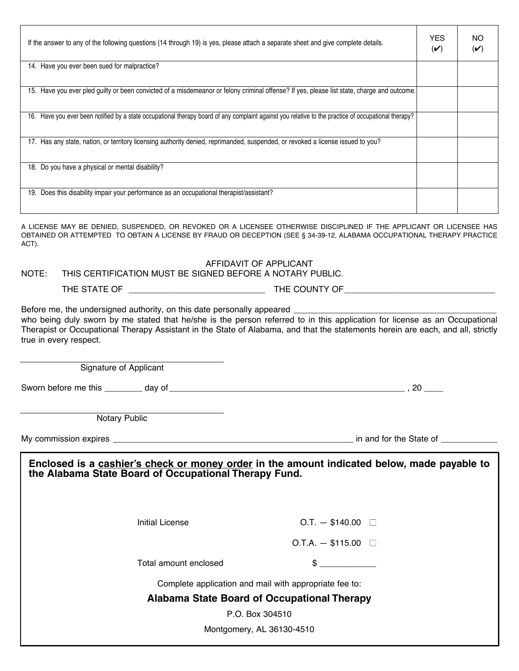| NO<br>$(\checkmark)$                                                                                                                                                                                                                          |
|-----------------------------------------------------------------------------------------------------------------------------------------------------------------------------------------------------------------------------------------------|
|                                                                                                                                                                                                                                               |
|                                                                                                                                                                                                                                               |
|                                                                                                                                                                                                                                               |
|                                                                                                                                                                                                                                               |
|                                                                                                                                                                                                                                               |
|                                                                                                                                                                                                                                               |
|                                                                                                                                                                                                                                               |
| A LICENSE MAY BE DENIED, SUSPENDED, OR REVOKED OR A LICENSEE OTHERWISE DISCIPLINED IF THE APPLICANT OR LICENSEE HAS<br>OBTAINED OR ATTEMPTED TO OBTAIN A LICENSE BY FRAUD OR DECEPTION (SEE § 34-39-12, ALABAMA OCCUPATIONAL THERAPY PRACTICE |
|                                                                                                                                                                                                                                               |
|                                                                                                                                                                                                                                               |
| Therapist or Occupational Therapy Assistant in the State of Alabama, and that the statements herein are each, and all, strictly                                                                                                               |
|                                                                                                                                                                                                                                               |
|                                                                                                                                                                                                                                               |
|                                                                                                                                                                                                                                               |
|                                                                                                                                                                                                                                               |
| Enclosed is a cashier's check or money order in the amount indicated below, made payable to                                                                                                                                                   |
|                                                                                                                                                                                                                                               |
|                                                                                                                                                                                                                                               |
|                                                                                                                                                                                                                                               |
| who being duly sworn by me stated that he/she is the person referred to in this application for license as an Occupational                                                                                                                    |

**Alabama State Board of Occupational Therapy**

P.O. Box 304510

Montgomery, AL 36130-4510